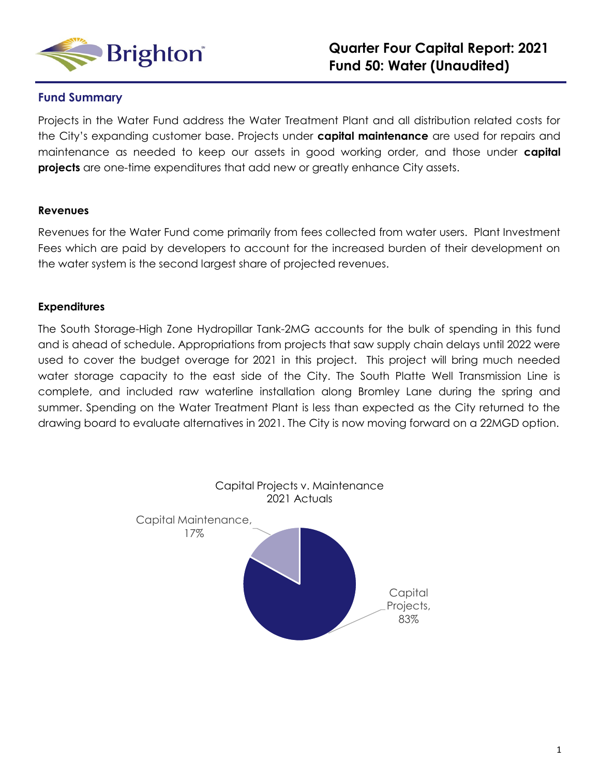

#### **Fund Summary**

Projects in the Water Fund address the Water Treatment Plant and all distribution related costs for the City's expanding customer base. Projects under **capital maintenance** are used for repairs and maintenance as needed to keep our assets in good working order, and those under **capital projects** are one-time expenditures that add new or greatly enhance City assets.

#### **Revenues**

Revenues for the Water Fund come primarily from fees collected from water users. Plant Investment Fees which are paid by developers to account for the increased burden of their development on the water system is the second largest share of projected revenues.

#### **Expenditures**

The South Storage-High Zone Hydropillar Tank-2MG accounts for the bulk of spending in this fund and is ahead of schedule. Appropriations from projects that saw supply chain delays until 2022 were used to cover the budget overage for 2021 in this project. This project will bring much needed water storage capacity to the east side of the City. The South Platte Well Transmission Line is complete, and included raw waterline installation along Bromley Lane during the spring and summer. Spending on the Water Treatment Plant is less than expected as the City returned to the drawing board to evaluate alternatives in 2021. The City is now moving forward on a 22MGD option.

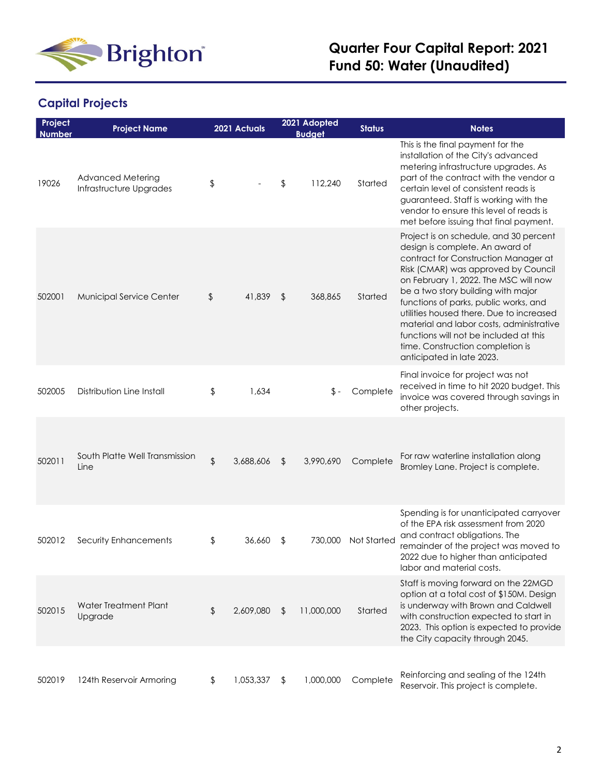

# **Capital Projects**

| Project<br><b>Number</b> | <b>Project Name</b>                                 |               | 2021 Actuals | 2021 Adopted<br><b>Budget</b> | <b>Status</b>      | <b>Notes</b>                                                                                                                                                                                                                                                                                                                                                                                                                                                                        |
|--------------------------|-----------------------------------------------------|---------------|--------------|-------------------------------|--------------------|-------------------------------------------------------------------------------------------------------------------------------------------------------------------------------------------------------------------------------------------------------------------------------------------------------------------------------------------------------------------------------------------------------------------------------------------------------------------------------------|
| 19026                    | <b>Advanced Metering</b><br>Infrastructure Upgrades | \$            |              | \$<br>112,240                 | Started            | This is the final payment for the<br>installation of the City's advanced<br>metering infrastructure upgrades. As<br>part of the contract with the vendor a<br>certain level of consistent reads is<br>guaranteed. Staff is working with the<br>vendor to ensure this level of reads is<br>met before issuing that final payment.                                                                                                                                                    |
| 502001                   | <b>Municipal Service Center</b>                     | \$            | 41,839       | \$<br>368,865                 | Started            | Project is on schedule, and 30 percent<br>design is complete. An award of<br>contract for Construction Manager at<br>Risk (CMAR) was approved by Council<br>on February 1, 2022. The MSC will now<br>be a two story building with major<br>functions of parks, public works, and<br>utilities housed there. Due to increased<br>material and labor costs, administrative<br>functions will not be included at this<br>time. Construction completion is<br>anticipated in late 2023. |
| 502005                   | Distribution Line Install                           | \$            | 1,634        | \$ -                          | Complete           | Final invoice for project was not<br>received in time to hit 2020 budget. This<br>invoice was covered through savings in<br>other projects.                                                                                                                                                                                                                                                                                                                                         |
| 502011                   | South Platte Well Transmission<br>Line              | $\frac{1}{2}$ | 3,688,606    | \$<br>3,990,690               | Complete           | For raw waterline installation along<br>Bromley Lane. Project is complete.                                                                                                                                                                                                                                                                                                                                                                                                          |
| 502012                   | Security Enhancements                               | \$            | 36,660       | \$<br>730,000                 | <b>Not Started</b> | Spending is for unanticipated carryover<br>of the EPA risk assessment from 2020<br>and contract obligations. The<br>remainder of the project was moved to<br>2022 due to higher than anticipated<br>labor and material costs.                                                                                                                                                                                                                                                       |
| 502015                   | Water Treatment Plant<br>Upgrade                    | \$            | 2,609,080    | \$<br>11,000,000              | Started            | Staff is moving forward on the 22MGD<br>option at a total cost of \$150M. Design<br>is underway with Brown and Caldwell<br>with construction expected to start in<br>2023. This option is expected to provide<br>the City capacity through 2045.                                                                                                                                                                                                                                    |
| 502019                   | 124th Reservoir Armoring                            | \$            | 1,053,337    | \$<br>1,000,000               | Complete           | Reinforcing and sealing of the 124th<br>Reservoir. This project is complete.                                                                                                                                                                                                                                                                                                                                                                                                        |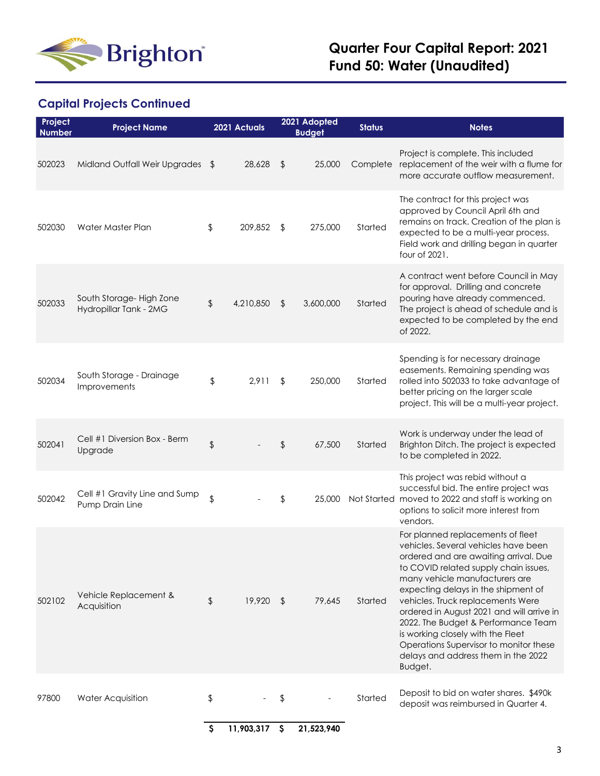

# **Capital Projects Continued**

| Project<br><b>Number</b> | <b>Project Name</b>                               |                           | 2021 Actuals  | 2021 Adopted<br><b>Budget</b> | <b>Status</b> | <b>Notes</b>                                                                                                                                                                                                                                                                                                                                                                                                                                                                                   |
|--------------------------|---------------------------------------------------|---------------------------|---------------|-------------------------------|---------------|------------------------------------------------------------------------------------------------------------------------------------------------------------------------------------------------------------------------------------------------------------------------------------------------------------------------------------------------------------------------------------------------------------------------------------------------------------------------------------------------|
| 502023                   | Midland Outfall Weir Upgrades \$                  |                           | 28,628        | \$<br>25,000                  | Complete      | Project is complete. This included<br>replacement of the weir with a flume for<br>more accurate outflow measurement.                                                                                                                                                                                                                                                                                                                                                                           |
| 502030                   | Water Master Plan                                 | \$                        | 209,852       | \$<br>275,000                 | Started       | The contract for this project was<br>approved by Council April 6th and<br>remains on track. Creation of the plan is<br>expected to be a multi-year process.<br>Field work and drilling began in quarter<br>four of 2021.                                                                                                                                                                                                                                                                       |
| 502033                   | South Storage-High Zone<br>Hydropillar Tank - 2MG | \$                        | 4,210,850     | \$<br>3,600,000               | Started       | A contract went before Council in May<br>for approval. Drilling and concrete<br>pouring have already commenced.<br>The project is ahead of schedule and is<br>expected to be completed by the end<br>of 2022.                                                                                                                                                                                                                                                                                  |
| 502034                   | South Storage - Drainage<br>Improvements          | \$                        | 2,911         | \$<br>250,000                 | Started       | Spending is for necessary drainage<br>easements. Remaining spending was<br>rolled into 502033 to take advantage of<br>better pricing on the larger scale<br>project. This will be a multi-year project.                                                                                                                                                                                                                                                                                        |
| 502041                   | Cell #1 Diversion Box - Berm<br>Upgrade           | \$                        |               | \$<br>67,500                  | Started       | Work is underway under the lead of<br>Brighton Ditch. The project is expected<br>to be completed in 2022.                                                                                                                                                                                                                                                                                                                                                                                      |
| 502042                   | Cell #1 Gravity Line and Sump<br>Pump Drain Line  | \$                        |               | \$<br>25,000                  |               | This project was rebid without a<br>successful bid. The entire project was<br>Not Started moved to 2022 and staff is working on<br>options to solicit more interest from<br>vendors.                                                                                                                                                                                                                                                                                                           |
| 502102                   | Vehicle Replacement &<br>Acquisition              | \$                        | 19,920 \$     | 79,645                        | Started       | For planned replacements of fleet<br>vehicles. Several vehicles have been<br>ordered and are awaiting arrival. Due<br>to COVID related supply chain issues,<br>many vehicle manufacturers are<br>expecting delays in the shipment of<br>vehicles. Truck replacements Were<br>ordered in August 2021 and will arrive in<br>2022. The Budget & Performance Team<br>is working closely with the Fleet<br>Operations Supervisor to monitor these<br>delays and address them in the 2022<br>Budget. |
| 97800                    | <b>Water Acquisition</b>                          | \$                        |               | \$                            | Started       | Deposit to bid on water shares. \$490k<br>deposit was reimbursed in Quarter 4.                                                                                                                                                                                                                                                                                                                                                                                                                 |
|                          |                                                   | $\boldsymbol{\mathsf{S}}$ | 11,903,317 \$ | 21,523,940                    |               |                                                                                                                                                                                                                                                                                                                                                                                                                                                                                                |